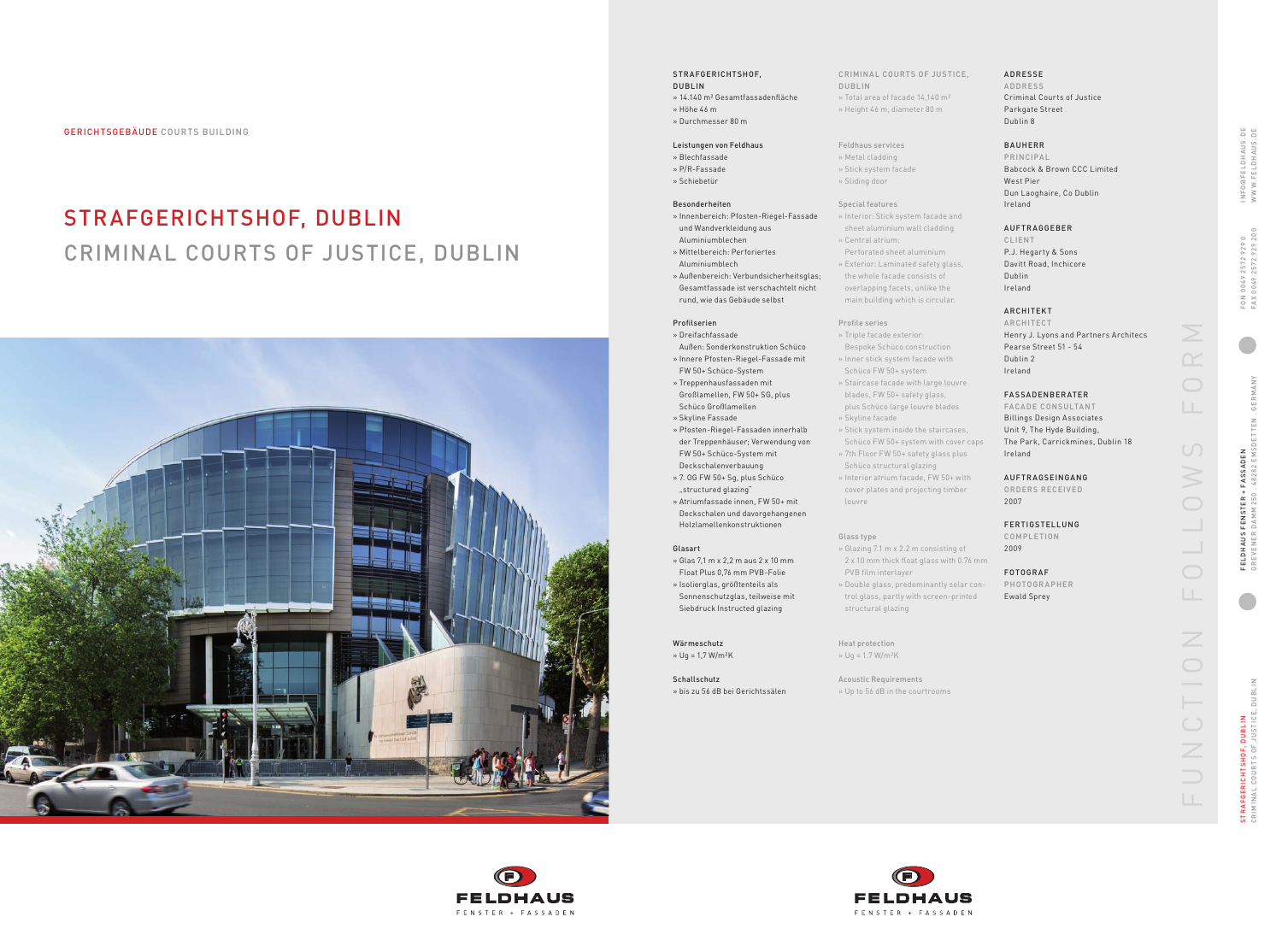CRIMINAL COURTS OF JUSTICE, DUBLIN **DUBLI** TRAFGERICHTSHOF, DUBLIN<br>RIMINAL COURTS OF JUSTICE STRAFGERICHTSHOF, DUBLIN

| $\cup$<br>$\circ$<br>92<br>$\sim$<br>r,<br>LO<br>$\bar{c}$<br>$\circ$<br>$\frac{1}{2}$<br>ā<br>$\geq$<br>교 | $\cup$<br>$\overline{20}$<br>$\frac{0}{2}$<br>J<br>o<br>72<br>ī٥<br>$\sim$<br>0049<br>$\lambda$ X<br>L.                               |
|------------------------------------------------------------------------------------------------------------|---------------------------------------------------------------------------------------------------------------------------------------|
| c                                                                                                          | I                                                                                                                                     |
| ш<br>j<br>d<br>u<br>š<br>d<br>t<br>J                                                                       | 4<br>í<br>é<br>Ĭ.<br>é<br>é<br>$\approx$<br>ш<br>ō<br>z<br>ш<br>⊢<br>ŀ<br>ш<br>MSDI<br>ш<br>$\sim$<br>$\frac{28}{3}$<br>$\infty$<br>4 |
| ł<br>$\Omega$<br>ц<br>j<br>.<br>N<br>l<br>ц<br>ц<br>¢<br>HAU<br>ETD.<br>Ē<br>í<br>ī                        | 250<br>$\geq$<br>Ξ<br>è<br>ť<br>ā<br>$\mathbb{E}$<br>EVENI<br>군<br>0                                                                  |

FU NCTIO N  FO L LOW S  FORM  $\geq$  $\bigcirc$  $\cup$ N O  $\overline{\phantom{0}}$  $\bigcirc$ Z  $\bigcirc$  $\cup$  $\overline{\mathbb{Z}}$ 

INFO@FELDHAUS.DE www.FELDHAUS.DE

INFO@FELDHAUS.D<br>WWW.FELDHAUS.D

 $\begin{array}{c} \square \qquad \square \\ \square \qquad \square \end{array}$ 

GERICHTSGEB äUDE COURTS BUILDING

# STRAFGERICHTSHOF, DUBLIN CRIMINAL COURTS OF JUSTICE, DUBLIN



STRAFGERICHTSHOF,

### DUBLIN » 14.140 m² Gesamtfassadenfläche » Höhe 46 m

»  Durchmesser 80 m

### Leistungen von Feldhaus

- »  Blechfassade
- »  P/R-Fassade »  Schiebetür

### Besonderheiten

- »  Innenbereich: Pfosten-Riegel-Fassade und Wandverkleidung aus Aluminiumblechen
- »  Mittelbereich: Perforiertes Aluminiumblech
- »  Außenbereich: Verbundsicherheitsglas; Gesamtfassade ist verschachtelt nicht rund, wie das Gebäude selbst

### Profilserien

- »  Dreifachfassade
- Außen: Sonderkonstruktion Schüco »  Innere Pfosten-Riegel-Fassade mit
- FW 50+ Schüco-System »  Treppenhausfassaden mit
- Großlamellen, FW 50+ SG, plus Schüco Großlamellen »  Skyline Fassade
- »  Pfosten-Riegel-Fassaden innerhalb der Treppenhäuser; Verwendung von FW 50+ Schüco-System mit Deckschalenverbauung
- »  7. OG FW 50+ Sg, plus Schüco "structured glazing"
- »  Atriumfassade innen, FW 50+ mit Deckschalen und davorgehangenen Holzlamellenkonstruktionen

### Glasart

- »  Glas 7,1 m x 2,2 m aus 2 x 10 mm Float Plus 0,76 mm PVB-Folie
- »  Isolierglas, größtenteils als Sonnenschutzglas, teilweise mit Siebdruck Instructed glazing

### wärmeschutz » Ug = 1,7 W/m²K

 $\left( \mathsf{F}\right)$ **FELDHAUS** 

FENSTER + FASSADEN

Schallschutz »  bis zu 56 dB bei Gerichtssälen

### CRIMINAL COURTS OF JUSTICE, DUBLIN »  Total area of facade 14,140 m²

» Height 46 m, diameter 80 m

### Feldhaus services » Metal cladding

ORDERS RECEIVED 2007

- » Stick system facade » Sliding door
- 

### Special features

»  Central atrium:

Perforated sheet aluminium

- »  Interior: Stick system facade and sheet aluminium wall cladding
	- CLIENT
- »  Exterior: Laminated safety glass, the whole facade consists of overlapping facets, unlike the main building which is circular.

Profile series »  Triple facade exterior: Bespoke Schüco construction »  Inner stick system facade with

- 
- Schüco FW 50+ system »  Staircase facade with large louvre
- blades, FW 50+ safety glass, plus Schüco large louvre blades
- » Skyline facade
- »  Stick system inside the staircases, Schüco FW 50+ system with cover caps »  7th Floor FW 50+ safety glass plus
- Schüco structural glazing »  Interior atrium facade, FW 50+ with
- cover plates and projecting timber louvre

Glass type

»  Glazing 7.1 m x 2.2 m consisting of 2 x 10 mm thick float glass with 0.76 mm

PVB film interlayer

»  Double glass, predominantly solar con trol glass, partly with screen-printed structural glazing

Heat protection » Ug = 1.7 W/m²K

Acoustic Requirements » Up to 56 dB in the courtrooms



### ADRESSE

A D DRESS Criminal Courts of Justice Parkgate Street Dublin 8

### BAUHERR

PRI NCIPA L Babcock & Brown CCC Limited West Pier Dun Laoghaire, Co Dublin Ireland

### AUFTRAGGEBER

P.J. Hegarty & Sons Davitt Road, Inchicore Ireland

Dublin

### ARCHITEKT

ARCHITECT Henry J. Lyons and Partners Architecs Pearse Street 51 - 54 Dublin 2 Ireland

- 
- 

### FASSADEN BERATER

FACADE CONSULTANT Billings Design Associates Unit 9, The Hyde Building, The Park, Carrickmines, Dublin 18 Ireland

### AUFTRAGSEINGANG

### FERTIGSTELLUNG

COMPLETION

## 2009

### FOTOGRAF

PHOTOGRAPHER Ewald Sprey